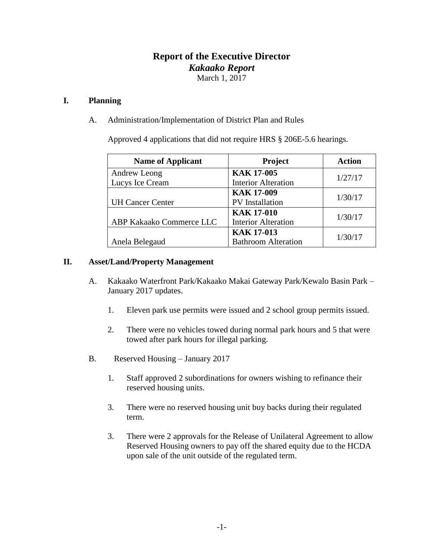## **Report of the Executive Director** *Kakaako Report* March 1, 2017

## **I. Planning**

A. Administration/Implementation of District Plan and Rules

Approved 4 applications that did not require HRS § 206E-5.6 hearings.

| <b>Name of Applicant</b> | Project                    | <b>Action</b> |  |  |
|--------------------------|----------------------------|---------------|--|--|
| Andrew Leong             | <b>KAK 17-005</b>          | 1/27/17       |  |  |
| Lucys Ice Cream          | <b>Interior Alteration</b> |               |  |  |
|                          | <b>KAK 17-009</b>          | 1/30/17       |  |  |
| <b>UH Cancer Center</b>  | PV Installation            |               |  |  |
|                          | <b>KAK 17-010</b>          | 1/30/17       |  |  |
| ABP Kakaako Commerce LLC | <b>Interior Alteration</b> |               |  |  |
|                          | <b>KAK 17-013</b>          | 1/30/17       |  |  |
| Anela Belegaud           | <b>Bathroom Alteration</b> |               |  |  |

### **II. Asset/Land/Property Management**

- A. Kakaako Waterfront Park/Kakaako Makai Gateway Park/Kewalo Basin Park January 2017 updates.
	- 1. Eleven park use permits were issued and 2 school group permits issued.
	- 2. There were no vehicles towed during normal park hours and 5 that were towed after park hours for illegal parking.
- B. Reserved Housing January 2017
	- 1. Staff approved 2 subordinations for owners wishing to refinance their reserved housing units.
	- 3. There were no reserved housing unit buy backs during their regulated term.
	- 3. There were 2 approvals for the Release of Unilateral Agreement to allow Reserved Housing owners to pay off the shared equity due to the HCDA upon sale of the unit outside of the regulated term.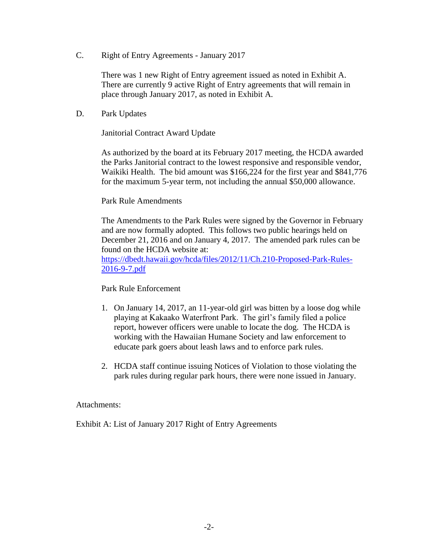C. Right of Entry Agreements - January 2017

There was 1 new Right of Entry agreement issued as noted in Exhibit A. There are currently 9 active Right of Entry agreements that will remain in place through January 2017, as noted in Exhibit A.

D. Park Updates

Janitorial Contract Award Update

As authorized by the board at its February 2017 meeting, the HCDA awarded the Parks Janitorial contract to the lowest responsive and responsible vendor, Waikiki Health. The bid amount was \$166,224 for the first year and \$841,776 for the maximum 5-year term, not including the annual \$50,000 allowance.

#### Park Rule Amendments

The Amendments to the Park Rules were signed by the Governor in February and are now formally adopted. This follows two public hearings held on December 21, 2016 and on January 4, 2017. The amended park rules can be found on the HCDA website at:

[https://dbedt.hawaii.gov/hcda/files/2012/11/Ch.210-Proposed-Park-Rules-](https://dbedt.hawaii.gov/hcda/files/2012/11/Ch.210-Proposed-Park-Rules-2016-9-7.pdf)[2016-9-7.pdf](https://dbedt.hawaii.gov/hcda/files/2012/11/Ch.210-Proposed-Park-Rules-2016-9-7.pdf)

#### Park Rule Enforcement

- 1. On January 14, 2017, an 11-year-old girl was bitten by a loose dog while playing at Kakaako Waterfront Park. The girl's family filed a police report, however officers were unable to locate the dog. The HCDA is working with the Hawaiian Humane Society and law enforcement to educate park goers about leash laws and to enforce park rules.
- 2. HCDA staff continue issuing Notices of Violation to those violating the park rules during regular park hours, there were none issued in January.

#### Attachments:

Exhibit A: List of January 2017 Right of Entry Agreements